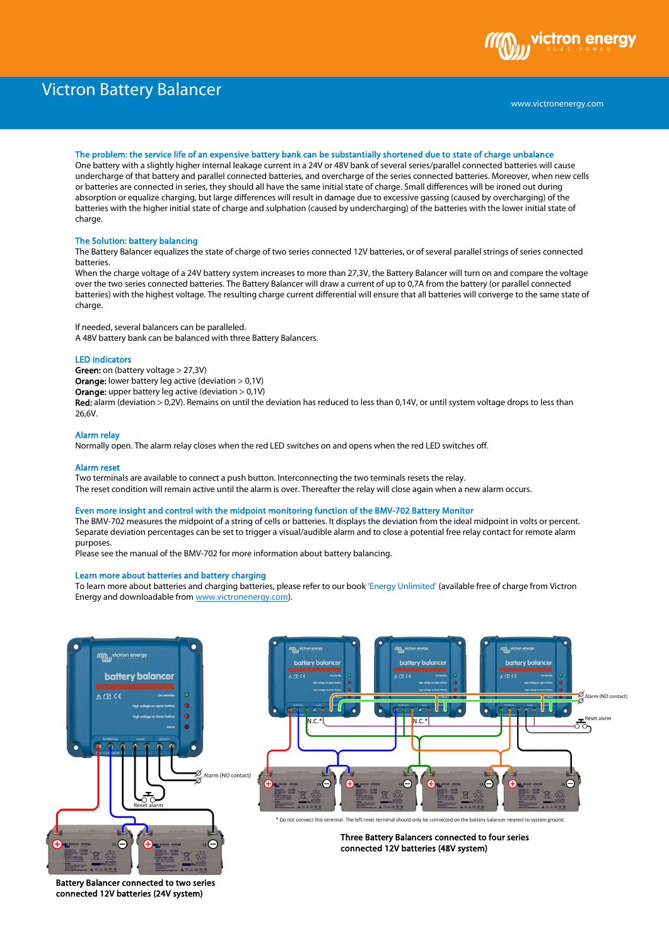# Victron Battery Balancer



## The problem: the service life of an expensive battery bank can be substantially shortened due to state of charge unbalance

One battery with a slightly higher internal leakage current in a 24V or 48V bank of several series/parallel connected batteries will cause undercharge of that battery and parallel connected batteries, and overcharge of the series connected batteries. Moreover, when new cells or batteries are connected in series, they should all have the same initial state of charge. Small differences will be ironed out during absorption or equalize charging, but large differences will result in damage due to excessive gassing (caused by overcharging) of the batteries with the higher initial state of charge and sulphation (caused by undercharging) of the batteries with the lower initial state of charge.

## The Solution: battery balancing

The Battery Balancer equalizes the state of charge of two series connected 12V batteries, or of several parallel strings of series connected batteries.

When the charge voltage of a 24V battery system increases to more than 27,3V, the Battery Balancer will turn on and compare the voltage over the two series connected batteries. The Battery Balancer will draw a current of up to 0,7A from the battery (or parallel connected batteries) with the highest voltage. The resulting charge current differential will ensure that all batteries will converge to the same state of charge.

If needed, several balancers can be paralleled. A 48V battery bank can be balanced with three Battery Balancers.

## LED indicators

Green: on (battery voltage > 27,3V) Orange: lower battery leg active (deviation > 0,1V)

Orange: upper battery leg active (deviation > 0,1V)

Red: alarm (deviation > 0,2V). Remains on until the deviation has reduced to less than 0,14V, or until system voltage drops to less than 26,6V.

# Alarm relay

Normally open. The alarm relay closes when the red LED switches on and opens when the red LED switches off.

## Alarm reset

Two terminals are available to connect a push button. Interconnecting the two terminals resets the relay. The reset condition will remain active until the alarm is over. Thereafter the relay will close again when a new alarm occurs.

## Even more insight and control with the midpoint monitoring function of the BMV-702 Battery Monitor

The BMV-702 measures the midpoint of a string of cells or batteries. It displays the deviation from the ideal midpoint in volts or percent. Separate deviation percentages can be set to trigger a visual/audible alarm and to close a potential free relay contact for remote alarm purposes.

Please see the manual of the BMV-702 for more information about battery balancing.

## Learn more about batteries and battery charging

To learn more about batteries and charging batteries, please refer to our book 'Energy Unlimited' (available free of charge from Victron Energy and downloadable fro[m www.victronenergy.com\).](http://www.victronenergy.com/)



Battery Balancer connected to two series connected 12V batteries (24V system)



\* Do not connect this terminal. The left reset terminal should only be connected on the battery bala er nearest to system ground

> Three Battery Balancers connected to four series connected 12V batteries (48V system)